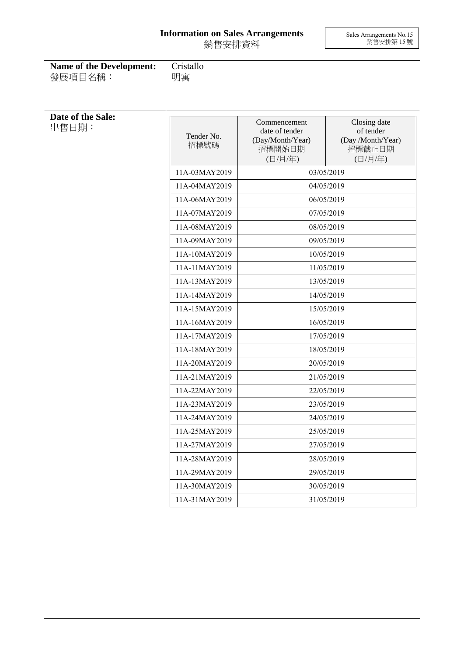## **Information on Sales Arrangements** 銷售安排資料

Sales Arrangements No.15 銷售安排第 15 號

| Name of the Development:<br>發展項目名稱: | Cristallo<br>明寓                |                                                              |                                                          |
|-------------------------------------|--------------------------------|--------------------------------------------------------------|----------------------------------------------------------|
| Date of the Sale:<br>出售日期:          | Tender No.<br>招標號碼             | Commencement<br>date of tender<br>(Day/Month/Year)<br>招標開始日期 | Closing date<br>of tender<br>(Day /Month/Year)<br>招標截止日期 |
|                                     |                                | (日/月/年)                                                      | (日/月/年)                                                  |
|                                     | 11A-03MAY2019                  | 03/05/2019                                                   |                                                          |
|                                     | 11A-04MAY2019<br>11A-06MAY2019 | 04/05/2019                                                   |                                                          |
|                                     | 11A-07MAY2019                  | 06/05/2019                                                   |                                                          |
|                                     | 11A-08MAY2019                  | 07/05/2019<br>08/05/2019                                     |                                                          |
|                                     | 11A-09MAY2019                  |                                                              | 09/05/2019                                               |
|                                     | 11A-10MAY2019                  |                                                              |                                                          |
|                                     | 11A-11MAY2019                  | 10/05/2019<br>11/05/2019                                     |                                                          |
|                                     | 11A-13MAY2019                  |                                                              |                                                          |
|                                     | 11A-14MAY2019                  | 13/05/2019                                                   |                                                          |
|                                     | 11A-15MAY2019                  | 14/05/2019<br>15/05/2019                                     |                                                          |
|                                     | 11A-16MAY2019                  | 16/05/2019                                                   |                                                          |
|                                     | 11A-17MAY2019                  | 17/05/2019                                                   |                                                          |
|                                     | 11A-18MAY2019                  | 18/05/2019                                                   |                                                          |
|                                     | 11A-20MAY2019                  | 20/05/2019                                                   |                                                          |
|                                     | 11A-21MAY2019                  | 21/05/2019                                                   |                                                          |
|                                     | 11A-22MAY2019                  | 22/05/2019<br>23/05/2019<br>24/05/2019<br>25/05/2019         |                                                          |
|                                     | 11A-23MAY2019                  |                                                              |                                                          |
|                                     | 11A-24MAY2019                  |                                                              |                                                          |
|                                     | 11A-25MAY2019                  |                                                              |                                                          |
|                                     | 11A-27MAY2019                  |                                                              | 27/05/2019                                               |
|                                     | 11A-28MAY2019                  |                                                              | 28/05/2019                                               |
|                                     | 11A-29MAY2019                  | 29/05/2019                                                   |                                                          |
|                                     | 11A-30MAY2019                  |                                                              | 30/05/2019                                               |
|                                     | 11A-31MAY2019                  |                                                              | 31/05/2019                                               |
|                                     |                                |                                                              |                                                          |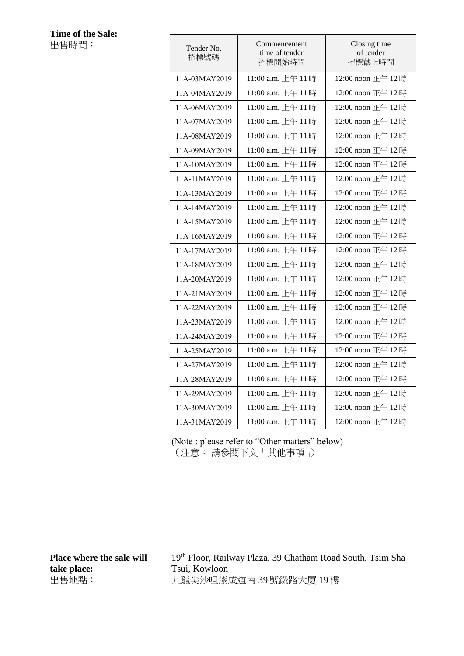| Time of the Sale:                                 |                                                                                                        |                                          |                                     |
|---------------------------------------------------|--------------------------------------------------------------------------------------------------------|------------------------------------------|-------------------------------------|
| 出售時間:                                             | Tender No.<br>招標號碼                                                                                     | Commencement<br>time of tender<br>招標開始時間 | Closing time<br>of tender<br>招標截止時間 |
|                                                   | 11A-03MAY2019                                                                                          | 11:00 a.m. 上午 11時                        | 12:00 noon 正午 12時                   |
|                                                   | 11A-04MAY2019                                                                                          | 11:00 a.m. 上午 11時                        | 12:00 noon 正午 12時                   |
|                                                   | 11A-06MAY2019                                                                                          | 11:00 a.m. 上午 11時                        | 12:00 noon 正午 12時                   |
|                                                   | 11A-07MAY2019                                                                                          | 11:00 a.m. 上午 11時                        | 12:00 noon 正午 12時                   |
|                                                   | 11A-08MAY2019                                                                                          | 11:00 a.m. 上午 11時                        | 12:00 noon 正午 12時                   |
|                                                   | 11A-09MAY2019                                                                                          | 11:00 a.m. 上午 11時                        | 12:00 noon 正午 12時                   |
|                                                   | 11A-10MAY2019                                                                                          | 11:00 a.m. 上午 11時                        | 12:00 noon 正午 12時                   |
|                                                   | 11A-11MAY2019                                                                                          | 11:00 a.m. 上午 11時                        | 12:00 noon 正午 12時                   |
|                                                   | 11A-13MAY2019                                                                                          | 11:00 a.m. 上午 11時                        | 12:00 noon 正午 12時                   |
|                                                   | 11A-14MAY2019                                                                                          | 11:00 a.m. 上午 11時                        | 12:00 noon 正午 12時                   |
|                                                   | 11A-15MAY2019                                                                                          | 11:00 a.m. 上午 11時                        | 12:00 noon 正午 12時                   |
|                                                   | 11A-16MAY2019                                                                                          | 11:00 a.m. 上午 11時                        | 12:00 noon 正午 12時                   |
|                                                   | 11A-17MAY2019                                                                                          | 11:00 a.m. 上午 11時                        | 12:00 noon 正午 12時                   |
|                                                   | 11A-18MAY2019                                                                                          | 11:00 a.m. 上午 11時                        | 12:00 noon 正午 12時                   |
|                                                   | 11A-20MAY2019                                                                                          | 11:00 a.m. 上午 11時                        | 12:00 noon 正午 12時                   |
|                                                   | 11A-21MAY2019                                                                                          | 11:00 a.m. 上午 11時                        | 12:00 noon 正午 12時                   |
|                                                   | 11A-22MAY2019                                                                                          | 11:00 a.m. 上午 11時                        | 12:00 noon 正午 12時                   |
|                                                   | 11A-23MAY2019                                                                                          | 11:00 a.m. 上午 11時                        | 12:00 noon 正午 12時                   |
|                                                   | 11A-24MAY2019                                                                                          | 11:00 a.m. 上午 11時                        | 12:00 noon 正午 12時                   |
|                                                   | 11A-25MAY2019                                                                                          | 11:00 a.m. 上午 11時                        | 12:00 noon 正午 12時                   |
|                                                   | 11A-27MAY2019                                                                                          | 11:00 a.m. 上午 11時                        | 12:00 noon 正午 12時                   |
|                                                   | 11A-28MAY2019                                                                                          | 11:00 a.m. 上午 11時                        | 12:00 noon 正午 12時                   |
|                                                   | 11A-29MAY2019                                                                                          | 11:00 a.m. 上午 11時                        | 12:00 noon 正午 12時                   |
|                                                   | 11A-30MAY2019                                                                                          | 11:00 a.m. 上午 11時                        | 12:00 noon 正午 12時                   |
|                                                   | 11A-31MAY2019                                                                                          | 11:00 a.m. 上午 11時                        | 12:00 noon 正午 12時                   |
|                                                   | (Note : please refer to "Other matters" below)<br>(注意:請參閱下文「其他事項」)                                     |                                          |                                     |
|                                                   |                                                                                                        |                                          |                                     |
|                                                   |                                                                                                        |                                          |                                     |
| Place where the sale will<br>take place:<br>出售地點: | 19th Floor, Railway Plaza, 39 Chatham Road South, Tsim Sha<br>Tsui, Kowloon<br>九龍尖沙咀漆咸道南 39 號鐵路大廈 19 樓 |                                          |                                     |
|                                                   |                                                                                                        |                                          |                                     |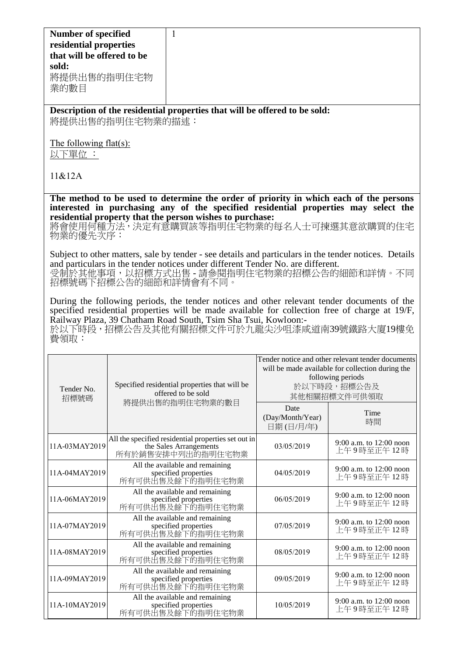| <b>Number of specified</b><br>residential properties<br>that will be offered to be<br>sold:<br>將提供出售的指明住宅物<br>業的數目                                                                                                                                                                                                   |                                                                     | 1                                                                                                                                                         |                                       |                                         |
|----------------------------------------------------------------------------------------------------------------------------------------------------------------------------------------------------------------------------------------------------------------------------------------------------------------------|---------------------------------------------------------------------|-----------------------------------------------------------------------------------------------------------------------------------------------------------|---------------------------------------|-----------------------------------------|
|                                                                                                                                                                                                                                                                                                                      | 將提供出售的指明住宅物業的描述:                                                    | Description of the residential properties that will be offered to be sold:                                                                                |                                       |                                         |
| The following flat(s):<br>以下單位 :                                                                                                                                                                                                                                                                                     |                                                                     |                                                                                                                                                           |                                       |                                         |
| 11&812A                                                                                                                                                                                                                                                                                                              |                                                                     |                                                                                                                                                           |                                       |                                         |
| The method to be used to determine the order of priority in which each of the persons<br>interested in purchasing any of the specified residential properties may select the<br>residential property that the person wishes to purchase:<br>將會使用何種方法,決定有意購買該等指明住宅物業的每名人士可揀選其意欲購買的住宅<br>物業的優先次序:                      |                                                                     |                                                                                                                                                           |                                       |                                         |
| Subject to other matters, sale by tender - see details and particulars in the tender notices. Details<br>and particulars in the tender notices under different Tender No. are different.<br>受制於其他事項,以招標方式出售-請參閱指明住宅物業的招標公告的細節和詳情。不同<br>招標號碼下招標公告的細節和詳情會有不同。                                                          |                                                                     |                                                                                                                                                           |                                       |                                         |
| During the following periods, the tender notices and other relevant tender documents of the<br>specified residential properties will be made available for collection free of charge at 19/F,<br>Railway Plaza, 39 Chatham Road South, Tsim Sha Tsui, Kowloon:-<br>於以下時段,招標公告及其他有關招標文件可於九龍尖沙咀漆咸道南39號鐵路大廈19樓免<br>費領取: |                                                                     |                                                                                                                                                           |                                       |                                         |
| Tender No.<br>招標號碼                                                                                                                                                                                                                                                                                                   | Specified residential properties that will be<br>offered to be sold | Tender notice and other relevant tender documents<br>will be made available for collection during the<br>following periods<br>於以下時段,招標公告及<br>其他相關招標文件可供領取 |                                       |                                         |
|                                                                                                                                                                                                                                                                                                                      |                                                                     | 將提供出售的指明住宅物業的數目                                                                                                                                           | Date<br>(Day/Month/Year)<br>日期(日/月/年) | Time<br>時間                              |
| 11A-03MAY2019                                                                                                                                                                                                                                                                                                        |                                                                     | All the specified residential properties set out in<br>the Sales Arrangements<br>所有於銷售安排中列出的指明住宅物業                                                        | 03/05/2019                            | 9:00 a.m. to 12:00 noon<br>上午9時至正午 12 時 |
| 11A-04MAY2019                                                                                                                                                                                                                                                                                                        |                                                                     | All the available and remaining<br>specified properties<br>所有可供出售及餘下的指明住宅物業                                                                               | 04/05/2019                            | 9:00 a.m. to 12:00 noon<br>上午9時至正午12時   |
| 11A-06MAY2019                                                                                                                                                                                                                                                                                                        |                                                                     | All the available and remaining<br>specified properties<br>所有可供出售及餘下的指明住宅物業                                                                               | 06/05/2019                            | 9:00 a.m. to 12:00 noon<br>上午9時至正午 12 時 |
| 11A-07MAY2019                                                                                                                                                                                                                                                                                                        |                                                                     | All the available and remaining<br>specified properties<br>所有可供出售及餘下的指明住宅物業                                                                               | 07/05/2019                            | 9:00 a.m. to 12:00 noon<br>上午9時至正午 12 時 |
| 11A-08MAY2019                                                                                                                                                                                                                                                                                                        |                                                                     | All the available and remaining<br>specified properties<br>所有可供出售及餘下的指明住宅物業                                                                               | 08/05/2019                            | 9:00 a.m. to 12:00 noon<br>上午9時至正午12時   |
| 11A-09MAY2019                                                                                                                                                                                                                                                                                                        |                                                                     | All the available and remaining<br>specified properties<br>所有可供出售及餘下的指明住宅物業                                                                               | 09/05/2019                            | 9:00 a.m. to 12:00 noon<br>上午9時至正午 12 時 |
| 11A-10MAY2019                                                                                                                                                                                                                                                                                                        |                                                                     | All the available and remaining<br>specified properties<br>所有可供出售及餘下的指明住宅物業                                                                               | 10/05/2019                            | 9:00 a.m. to 12:00 noon<br>上午9時至正午12時   |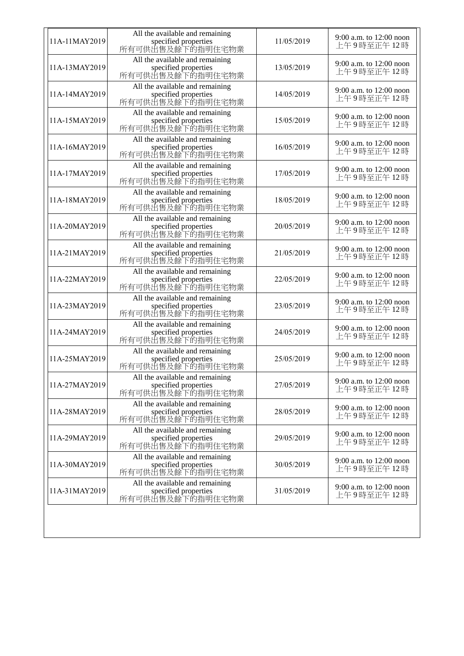| 11A-11MAY2019 | All the available and remaining<br>specified properties<br>所有可供出售及餘下的指明住宅物業 | 11/05/2019 | 9:00 a.m. to 12:00 noon<br>上午9時至正午12時   |
|---------------|-----------------------------------------------------------------------------|------------|-----------------------------------------|
| 11A-13MAY2019 | All the available and remaining<br>specified properties<br>所有可供出售及餘下的指明住宅物業 | 13/05/2019 | 9:00 a.m. to 12:00 noon<br>上午9時至正午12時   |
| 11A-14MAY2019 | All the available and remaining<br>specified properties<br>所有可供出售及餘下的指明住宅物業 | 14/05/2019 | 9:00 a.m. to 12:00 noon<br>上午9時至正午12時   |
| 11A-15MAY2019 | All the available and remaining<br>specified properties<br>所有可供出售及餘下的指明住宅物業 | 15/05/2019 | 9:00 a.m. to 12:00 noon<br>上午9時至正午12時   |
| 11A-16MAY2019 | All the available and remaining<br>specified properties<br>所有可供出售及餘下的指明住宅物業 | 16/05/2019 | 9:00 a.m. to 12:00 noon<br>上午9時至正午12時   |
| 11A-17MAY2019 | All the available and remaining<br>specified properties<br>所有可供出售及餘下的指明住宅物業 | 17/05/2019 | 9:00 a.m. to 12:00 noon<br>上午9時至正午12時   |
| 11A-18MAY2019 | All the available and remaining<br>specified properties<br>所有可供出售及餘下的指明住宅物業 | 18/05/2019 | 9:00 a.m. to $12:00$ noon<br>上午9時至正午12時 |
| 11A-20MAY2019 | All the available and remaining<br>specified properties<br>所有可供出售及餘下的指明住宅物業 | 20/05/2019 | 9:00 a.m. to 12:00 noon<br>上午9時至正午12時   |
| 11A-21MAY2019 | All the available and remaining<br>specified properties<br>所有可供出售及餘下的指明住宅物業 | 21/05/2019 | 9:00 a.m. to 12:00 noon<br>上午9時至正午12時   |
| 11A-22MAY2019 | All the available and remaining<br>specified properties<br>所有可供出售及餘下的指明住宅物業 | 22/05/2019 | 9:00 a.m. to 12:00 noon<br>上午9時至正午12時   |
| 11A-23MAY2019 | All the available and remaining<br>specified properties<br>所有可供出售及餘下的指明住宅物業 | 23/05/2019 | 9:00 a.m. to 12:00 noon<br>上午9時至正午12時   |
| 11A-24MAY2019 | All the available and remaining<br>specified properties<br>所有可供出售及餘下的指明住宅物業 | 24/05/2019 | 9:00 a.m. to 12:00 noon<br>上午9時至正午12時   |
| 11A-25MAY2019 | All the available and remaining<br>specified properties<br>所有可供出售及餘下的指明住宅物業 | 25/05/2019 | 9:00 a.m. to 12:00 noon<br>上午9時至正午12時   |
| 11A-27MAY2019 | All the available and remaining<br>specified properties<br>所有可供出售及餘下的指明住宅物業 | 27/05/2019 | 9:00 a.m. to 12:00 noon<br>上午9時至正午12時   |
| 11A-28MAY2019 | All the available and remaining<br>specified properties<br>所有可供出售及餘下的指明住宅物業 | 28/05/2019 | 9:00 a.m. to 12:00 noon<br>上午9時至正午12時   |
| 11A-29MAY2019 | All the available and remaining<br>specified properties<br>所有可供出售及餘下的指明住宅物業 | 29/05/2019 | 9:00 a.m. to $12:00$ noon<br>上午9時至正午12時 |
| 11A-30MAY2019 | All the available and remaining<br>specified properties<br>所有可供出售及餘下的指明住宅物業 | 30/05/2019 | 9:00 a.m. to 12:00 noon<br>上午9時至正午12時   |
| 11A-31MAY2019 | All the available and remaining<br>specified properties<br>所有可供出售及餘下的指明住宅物業 | 31/05/2019 | 9:00 a.m. to 12:00 noon<br>上午9時至正午12時   |
|               |                                                                             |            |                                         |